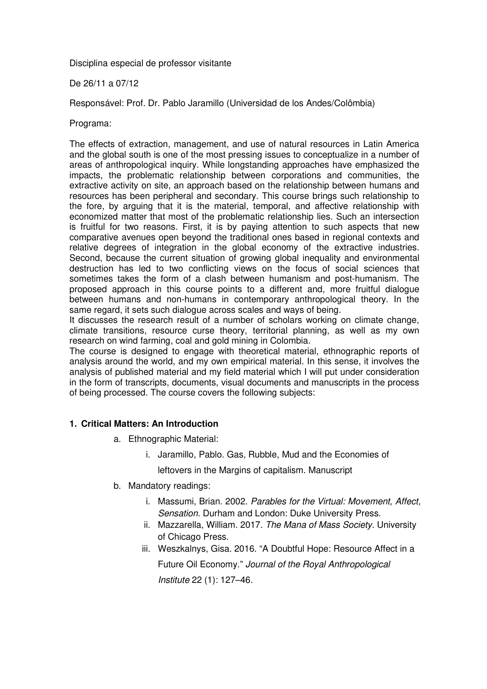Disciplina especial de professor visitante

### De 26/11 a 07/12

Responsável: Prof. Dr. Pablo Jaramillo (Universidad de los Andes/Colômbia)

#### Programa:

The effects of extraction, management, and use of natural resources in Latin America and the global south is one of the most pressing issues to conceptualize in a number of areas of anthropological inquiry. While longstanding approaches have emphasized the impacts, the problematic relationship between corporations and communities, the extractive activity on site, an approach based on the relationship between humans and resources has been peripheral and secondary. This course brings such relationship to the fore, by arguing that it is the material, temporal, and affective relationship with economized matter that most of the problematic relationship lies. Such an intersection is fruitful for two reasons. First, it is by paying attention to such aspects that new comparative avenues open beyond the traditional ones based in regional contexts and relative degrees of integration in the global economy of the extractive industries. Second, because the current situation of growing global inequality and environmental destruction has led to two conflicting views on the focus of social sciences that sometimes takes the form of a clash between humanism and post-humanism. The proposed approach in this course points to a different and, more fruitful dialogue between humans and non-humans in contemporary anthropological theory. In the same regard, it sets such dialogue across scales and ways of being.

It discusses the research result of a number of scholars working on climate change, climate transitions, resource curse theory, territorial planning, as well as my own research on wind farming, coal and gold mining in Colombia.

The course is designed to engage with theoretical material, ethnographic reports of analysis around the world, and my own empirical material. In this sense, it involves the analysis of published material and my field material which I will put under consideration in the form of transcripts, documents, visual documents and manuscripts in the process of being processed. The course covers the following subjects:

### **1. Critical Matters: An Introduction**

- a. Ethnographic Material:
	- i. Jaramillo, Pablo. Gas, Rubble, Mud and the Economies of leftovers in the Margins of capitalism. Manuscript
- b. Mandatory readings:
	- i. Massumi, Brian. 2002. Parables for the Virtual: Movement, Affect, Sensation. Durham and London: Duke University Press.
	- ii. Mazzarella, William. 2017. The Mana of Mass Society. University of Chicago Press.
	- iii. Weszkalnys, Gisa. 2016. "A Doubtful Hope: Resource Affect in a Future Oil Economy." Journal of the Royal Anthropological Institute 22 (1): 127–46.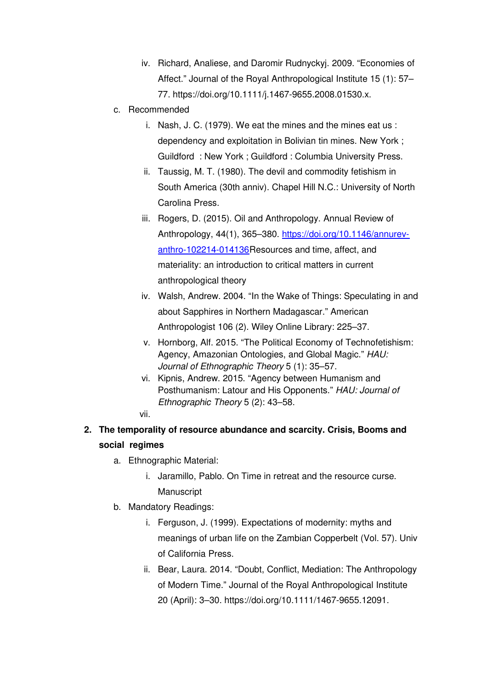- iv. Richard, Analiese, and Daromir Rudnyckyj. 2009. "Economies of Affect." Journal of the Royal Anthropological Institute 15 (1): 57– 77. https://doi.org/10.1111/j.1467-9655.2008.01530.x.
- c. Recommended
	- i. Nash, J. C. (1979). We eat the mines and the mines eat us : dependency and exploitation in Bolivian tin mines. New York ; Guildford : New York ; Guildford : Columbia University Press.
	- ii. Taussig, M. T. (1980). The devil and commodity fetishism in South America (30th anniv). Chapel Hill N.C.: University of North Carolina Press.
	- iii. Rogers, D. (2015). Oil and Anthropology. Annual Review of Anthropology, 44(1), 365–380. https://doi.org/10.1146/annurevanthro-102214-014136Resources and time, affect, and materiality: an introduction to critical matters in current anthropological theory
	- iv. Walsh, Andrew. 2004. "In the Wake of Things: Speculating in and about Sapphires in Northern Madagascar." American Anthropologist 106 (2). Wiley Online Library: 225–37.
	- v. Hornborg, Alf. 2015. "The Political Economy of Technofetishism: Agency, Amazonian Ontologies, and Global Magic." HAU: Journal of Ethnographic Theory 5 (1): 35–57.
	- vi. Kipnis, Andrew. 2015. "Agency between Humanism and Posthumanism: Latour and His Opponents." HAU: Journal of Ethnographic Theory 5 (2): 43–58.
	- vii.
- **2. The temporality of resource abundance and scarcity. Crisis, Booms and social regimes**
	- a. Ethnographic Material:
		- i. Jaramillo, Pablo. On Time in retreat and the resource curse. **Manuscript**
	- b. Mandatory Readings:
		- i. Ferguson, J. (1999). Expectations of modernity: myths and meanings of urban life on the Zambian Copperbelt (Vol. 57). Univ of California Press.
		- ii. Bear, Laura. 2014. "Doubt, Conflict, Mediation: The Anthropology of Modern Time." Journal of the Royal Anthropological Institute 20 (April): 3–30. https://doi.org/10.1111/1467-9655.12091.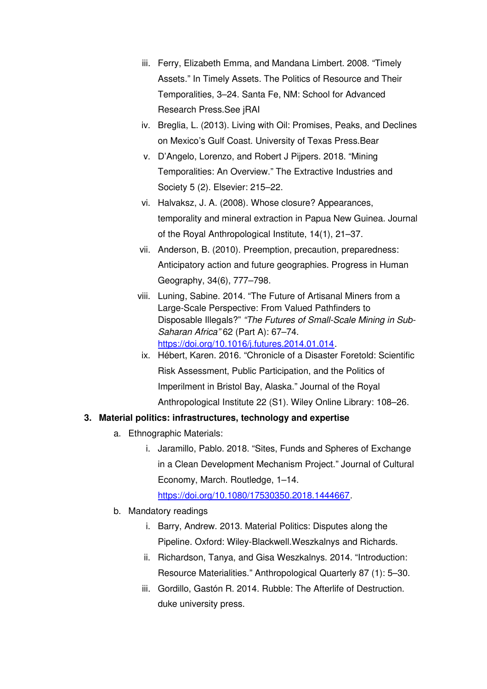- iii. Ferry, Elizabeth Emma, and Mandana Limbert. 2008. "Timely Assets." In Timely Assets. The Politics of Resource and Their Temporalities, 3–24. Santa Fe, NM: School for Advanced Research Press.See jRAI
- iv. Breglia, L. (2013). Living with Oil: Promises, Peaks, and Declines on Mexico's Gulf Coast. University of Texas Press.Bear
- v. D'Angelo, Lorenzo, and Robert J Pijpers. 2018. "Mining Temporalities: An Overview." The Extractive Industries and Society 5 (2). Elsevier: 215–22.
- vi. Halvaksz, J. A. (2008). Whose closure? Appearances, temporality and mineral extraction in Papua New Guinea. Journal of the Royal Anthropological Institute, 14(1), 21–37.
- vii. Anderson, B. (2010). Preemption, precaution, preparedness: Anticipatory action and future geographies. Progress in Human Geography, 34(6), 777–798.
- viii. Luning, Sabine. 2014. "The Future of Artisanal Miners from a Large-Scale Perspective: From Valued Pathfinders to Disposable Illegals?" "The Futures of Small-Scale Mining in Sub-Saharan Africa" 62 (Part A): 67–74. https://doi.org/10.1016/j.futures.2014.01.014.
- ix. Hébert, Karen. 2016. "Chronicle of a Disaster Foretold: Scientific Risk Assessment, Public Participation, and the Politics of Imperilment in Bristol Bay, Alaska." Journal of the Royal Anthropological Institute 22 (S1). Wiley Online Library: 108–26.

# **3. Material politics: infrastructures, technology and expertise**

- a. Ethnographic Materials:
	- i. Jaramillo, Pablo. 2018. "Sites, Funds and Spheres of Exchange in a Clean Development Mechanism Project." Journal of Cultural Economy, March. Routledge, 1–14.

https://doi.org/10.1080/17530350.2018.1444667.

- b. Mandatory readings
	- i. Barry, Andrew. 2013. Material Politics: Disputes along the Pipeline. Oxford: Wiley-Blackwell.Weszkalnys and Richards.
	- ii. Richardson, Tanya, and Gisa Weszkalnys. 2014. "Introduction: Resource Materialities." Anthropological Quarterly 87 (1): 5–30.
	- iii. Gordillo, Gastón R. 2014. Rubble: The Afterlife of Destruction. duke university press.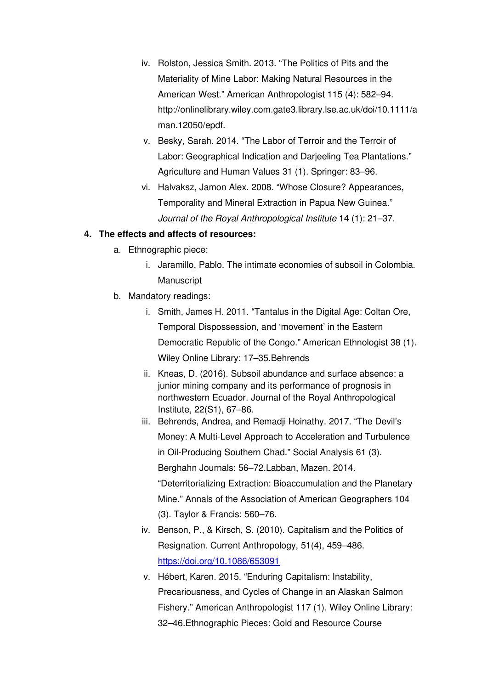- iv. Rolston, Jessica Smith. 2013. "The Politics of Pits and the Materiality of Mine Labor: Making Natural Resources in the American West." American Anthropologist 115 (4): 582–94. http://onlinelibrary.wiley.com.gate3.library.lse.ac.uk/doi/10.1111/a man.12050/epdf.
- v. Besky, Sarah. 2014. "The Labor of Terroir and the Terroir of Labor: Geographical Indication and Darjeeling Tea Plantations." Agriculture and Human Values 31 (1). Springer: 83–96.
- vi. Halvaksz, Jamon Alex. 2008. "Whose Closure? Appearances, Temporality and Mineral Extraction in Papua New Guinea." Journal of the Royal Anthropological Institute 14 (1): 21–37.

### **4. The effects and affects of resources:**

- a. Ethnographic piece:
	- i. Jaramillo, Pablo. The intimate economies of subsoil in Colombia. **Manuscript**
- b. Mandatory readings:
	- i. Smith, James H. 2011. "Tantalus in the Digital Age: Coltan Ore, Temporal Dispossession, and 'movement' in the Eastern Democratic Republic of the Congo." American Ethnologist 38 (1). Wiley Online Library: 17–35.Behrends
	- ii. Kneas, D. (2016). Subsoil abundance and surface absence: a junior mining company and its performance of prognosis in northwestern Ecuador. Journal of the Royal Anthropological Institute, 22(S1), 67–86.
	- iii. Behrends, Andrea, and Remadji Hoinathy. 2017. "The Devil's Money: A Multi-Level Approach to Acceleration and Turbulence in Oil-Producing Southern Chad." Social Analysis 61 (3). Berghahn Journals: 56–72.Labban, Mazen. 2014. "Deterritorializing Extraction: Bioaccumulation and the Planetary Mine." Annals of the Association of American Geographers 104 (3). Taylor & Francis: 560–76.
	- iv. Benson, P., & Kirsch, S. (2010). Capitalism and the Politics of Resignation. Current Anthropology, 51(4), 459–486. https://doi.org/10.1086/653091
	- v. Hébert, Karen. 2015. "Enduring Capitalism: Instability, Precariousness, and Cycles of Change in an Alaskan Salmon Fishery." American Anthropologist 117 (1). Wiley Online Library: 32–46.Ethnographic Pieces: Gold and Resource Course